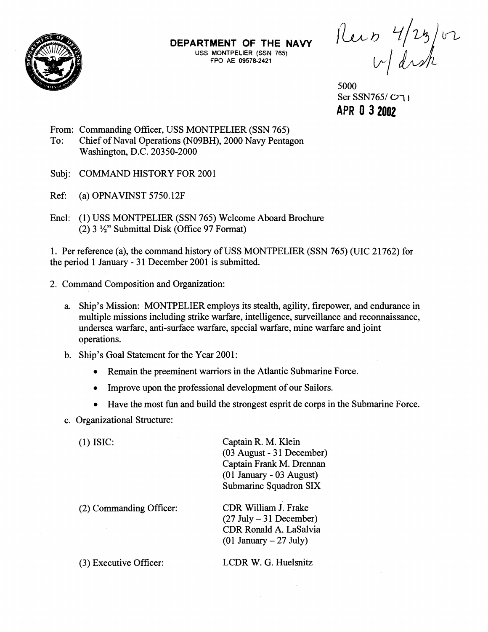

**USS MONTPELIER (SSN 765) FPO AE 09578-2421** 

**DEPARTMENT OF THE NAVY**  $\bigcap_{\text{USS MONTPELIER (SSN 765)}} \bigcup_{\text{ACSM 765}} \bigcup_{\text{ACSM 765}} \bigcup_{\text{ACSM 765}} \bigcup_{\text{ACSM 765}} \bigcup_{\text{ACSM 765}} \bigcup_{\text{ACSM 765}} \bigcup_{\text{ACSM 765}} \bigcup_{\text{ACSM 765}} \bigcup_{\text{ACSM 765}} \bigcup_{\text{ACSM 765}} \bigcup_{\text{ACSM 765}} \bigcup_{\text{A$ 

5000 Ser SSN765/ Cr\ **<sup>1</sup> APR 0 3 2002** 

- From: Commanding Officer, USS MONTPELIER (SSN 765) To: Chief of Naval Operations (NOBBH), 2000 Navy Pentagon Washington, D.C. 20350-2000
- Subj: COMMAND HISTORY FOR 2001
- Ref: (a) OPNAVINST  $5750.12F$
- Encl: (1) USS MONTPELIER (SSN 765) Welcome Aboard Brochure (2)  $3\frac{1}{2}$ " Submittal Disk (Office 97 Format)

1. Per reference (a), the command history of USS MONTPELIER (SSN 765) (UIC 21 762) for the period 1 January - 31 December 2001 is submitted.

- 2. Command Composition and Organization:
	- a. Ship's Mission: MONTPELIER employs its stealth, agility, firepower, and endurance in multiple missions including strike warfare, intelligence, surveillance and reconnaissance, undersea warfare, anti-surface warfare, special warfare, mine warfare and joint operations.
	- b. Ship's Goal Statement for the Year 2001:
		- Remain the preeminent warriors in the Atlantic Submarine Force.  $\bullet$
		- Improve upon the professional development of our Sailors.  $\bullet$
		- Have the most fun and build the strongest esprit de corps in the Submarine Force.

Captain R. M. Klein

c. Organizational Structure:

(1) ISIC:

(2) Commanding Officer:

Submarine Squadron SIX CDR William J. Frake  $(27 \text{ July} - 31 \text{ December})$ CDR Ronald A. LaSalvia

(03 August - 31 December) Captain Frank M. Drennan (01 January - 03 August)

**(3)** Executive Officer:

LCDR W. G. Huelsnitz

 $\mathcal{A}$ 

 $(01$  January  $- 27$  July)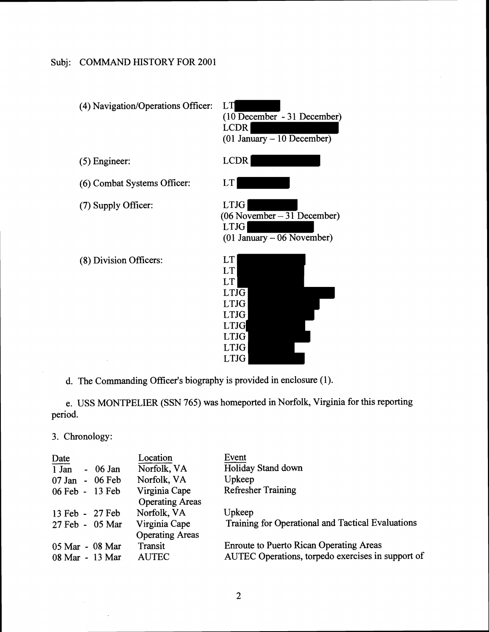## Subj: COMMAND HISTORY FOR 2001



d. The Commanding Officer's biography is provided in enclosure (1).

e. USS MONTPELIER (SSN 765) was homeported in Norfolk, Virginia for this reporting period.

| period.         |                          |                                                   |  |  |  |
|-----------------|--------------------------|---------------------------------------------------|--|--|--|
| 3. Chronology:  |                          |                                                   |  |  |  |
| Date            | Location                 | Event                                             |  |  |  |
| $1$ Jan         | Norfolk, VA<br>$-06$ Jan | Holiday Stand down                                |  |  |  |
| 07 Jan - 06 Feb | Norfolk, VA              | Upkeep                                            |  |  |  |
| 06 Feb - 13 Feb | Virginia Cape            | <b>Refresher Training</b>                         |  |  |  |
|                 | <b>Operating Areas</b>   |                                                   |  |  |  |
| 13 Feb - 27 Feb | Norfolk, VA              | Upkeep                                            |  |  |  |
| 27 Feb - 05 Mar | Virginia Cape            | Training for Operational and Tactical Evaluations |  |  |  |
|                 | <b>Operating Areas</b>   |                                                   |  |  |  |
| 05 Mar - 08 Mar | Transit                  | <b>Enroute to Puerto Rican Operating Areas</b>    |  |  |  |
| 08 Mar - 13 Mar | <b>AUTEC</b>             | AUTEC Operations, torpedo exercises in support of |  |  |  |
|                 |                          |                                                   |  |  |  |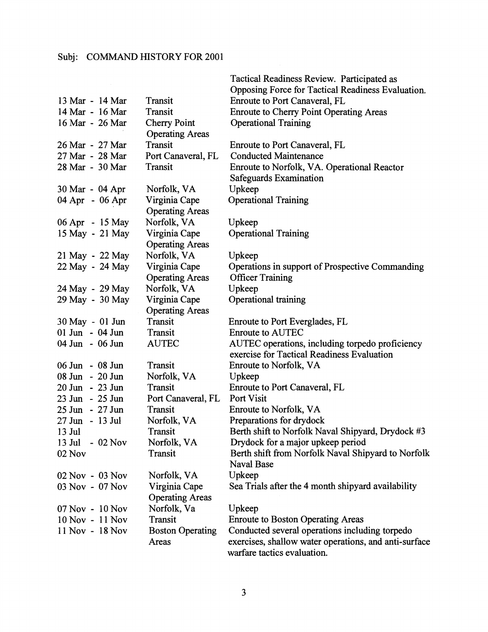|                 |                         | Tactical Readiness Review. Participated as            |
|-----------------|-------------------------|-------------------------------------------------------|
|                 |                         | Opposing Force for Tactical Readiness Evaluation.     |
| 13 Mar - 14 Mar | Transit                 | Enroute to Port Canaveral, FL                         |
| 14 Mar - 16 Mar | Transit                 | <b>Enroute to Cherry Point Operating Areas</b>        |
| 16 Mar - 26 Mar | <b>Cherry Point</b>     | <b>Operational Training</b>                           |
|                 | <b>Operating Areas</b>  |                                                       |
| 26 Mar - 27 Mar | Transit                 | Enroute to Port Canaveral, FL                         |
| 27 Mar - 28 Mar | Port Canaveral, FL      | <b>Conducted Maintenance</b>                          |
| 28 Mar - 30 Mar | Transit                 | Enroute to Norfolk, VA. Operational Reactor           |
|                 |                         | Safeguards Examination                                |
| 30 Mar - 04 Apr | Norfolk, VA             | Upkeep                                                |
| 04 Apr - 06 Apr | Virginia Cape           | <b>Operational Training</b>                           |
|                 | <b>Operating Areas</b>  |                                                       |
| 06 Apr - 15 May | Norfolk, VA             | Upkeep                                                |
| 15 May - 21 May | Virginia Cape           | <b>Operational Training</b>                           |
|                 | <b>Operating Areas</b>  |                                                       |
| 21 May - 22 May | Norfolk, VA             | Upkeep                                                |
| 22 May - 24 May | Virginia Cape           | Operations in support of Prospective Commanding       |
|                 | <b>Operating Areas</b>  | <b>Officer Training</b>                               |
| 24 May - 29 May | Norfolk, VA             | Upkeep                                                |
| 29 May - 30 May | Virginia Cape           | Operational training                                  |
|                 | <b>Operating Areas</b>  |                                                       |
| 30 May - 01 Jun | Transit                 | Enroute to Port Everglades, FL                        |
| 01 Jun - 04 Jun | Transit                 | <b>Enroute to AUTEC</b>                               |
| 04 Jun - 06 Jun | <b>AUTEC</b>            | AUTEC operations, including torpedo proficiency       |
|                 |                         | exercise for Tactical Readiness Evaluation            |
| 06 Jun - 08 Jun | Transit                 | Enroute to Norfolk, VA                                |
| 08 Jun - 20 Jun | Norfolk, VA             | Upkeep                                                |
| 20 Jun - 23 Jun | Transit                 | Enroute to Port Canaveral, FL                         |
| 23 Jun - 25 Jun | Port Canaveral, FL      | Port Visit                                            |
| 25 Jun - 27 Jun | Transit                 | Enroute to Norfolk, VA                                |
| 27 Jun - 13 Jul | Norfolk, VA             | Preparations for drydock                              |
| $13$ Jul        | Transit                 | Berth shift to Norfolk Naval Shipyard, Drydock #3     |
| 13 Jul - 02 Nov | Norfolk, VA             | Drydock for a major upkeep period                     |
| 02 Nov          | Transit                 | Berth shift from Norfolk Naval Shipyard to Norfolk    |
|                 |                         | <b>Naval Base</b>                                     |
| 02 Nov - 03 Nov | Norfolk, VA             | Upkeep                                                |
| 03 Nov - 07 Nov | Virginia Cape           | Sea Trials after the 4 month shipyard availability    |
|                 | <b>Operating Areas</b>  |                                                       |
| 07 Nov - 10 Nov | Norfolk, Va             | Upkeep                                                |
| 10 Nov - 11 Nov | Transit                 | <b>Enroute to Boston Operating Areas</b>              |
| 11 Nov - 18 Nov | <b>Boston Operating</b> | Conducted several operations including torpedo        |
|                 | Areas                   | exercises, shallow water operations, and anti-surface |
|                 |                         | warfare tactics evaluation.                           |